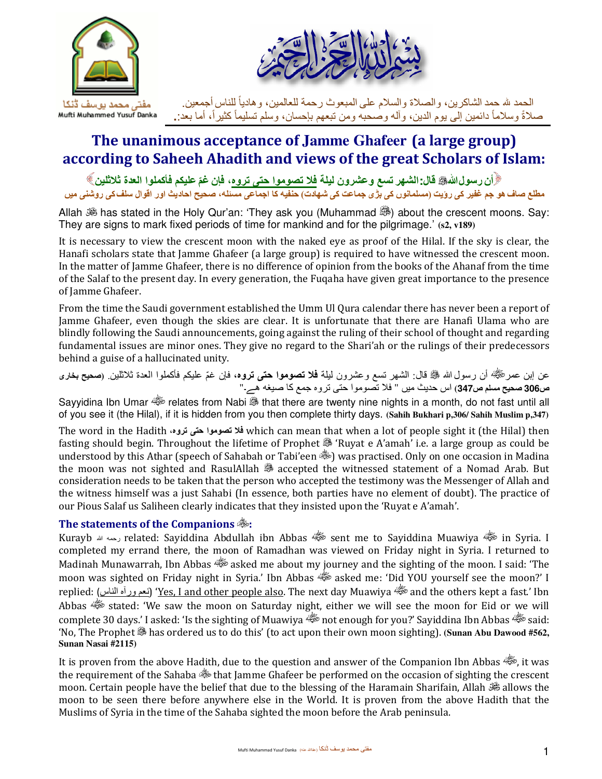

# **The unanimous acceptance of Jamme Ghafeer (a large group) according to Saheeh Ahadith and views of the great Scholars of Islam:**

أن رسول اللهﷺ قال: الشهر تسع وعشرون ليلة <u>فلا تصوموا حتى تروه</u>، فإن غمّ عليكم فأكملوا العدة ثلاثلين》 **مطلع صاف ھو جم غفير كى رؤيت (مسلمانوں كى بڑى جماعت كى شھادت) حنفيه كا اجماعى مسئله**، **صحيح احاديث اور اقوال سلفكى روشنى ميں** 

Allah  $\mathscr B$  has stated in the Holy Qur'an: 'They ask you (Muhammad  $\mathscr B$ ) about the crescent moons. Say: They are signs to mark fixed periods of time for mankind and for the pilgrimage.' **(s2, v189)** 

It is necessary to view the crescent moon with the naked eye as proof of the Hilal. If the sky is clear, the Hanafi scholars state that Jamme Ghafeer (a large group) is required to have witnessed the crescent moon. In the matter of Jamme Ghafeer, there is no difference of opinion from the books of the Ahanaf from the time of the Salaf to the present day. In every generation, the Fuqaha have given great importance to the presence of Jamme Ghafeer.

From the time the Saudi government established the Umm Ul Qura calendar there has never been a report of Jamme Ghafeer, even though the skies are clear. It is unfortunate that there are Hanafi Ulama who are blindly following the Saudi announcements, going against the ruling of their school of thought and regarding fundamental issues are minor ones. They give no regard to the Shari'ah or the rulings of their predecessors behind a guise of a hallucinated unity.

عن إبن عمر أن رسول الله قال: الشھر تسع وعشرون ليلة **ف5 تصوموا حتى تروه** ّ ، فإن غم عليكم فأكملوا العدة ث4ثلين. **(صحيح بخارى ص306 صحيح مسلم ص347)** اس حديث ميں " ف4 تصوموا حتى تروه جمع كا صيغه ھے۔"

Sayyidina Ibn Umar it relates from Nabi is that there are twenty nine nights in a month, do not fast until all of you see it (the Hilal), if it is hidden from you then complete thirty days. **(Sahih Bukhari p,306/ Sahih Muslim p,347)** 

The word in the Hadith **،تروه حتى تصوموا 5ف** which can mean that when a lot of people sight it (the Hilal) then fasting should begin. Throughout the lifetime of Prophet  $\mathscr{F}_1$  'Ruyat e A'amah' i.e. a large group as could be understood by this Athar (speech of Sahabah or Tabi'een  $\gg$ ) was practised. Only on one occasion in Madina the moon was not sighted and RasulAllah  $\ddot{\mathcal{F}}$  accepted the witnessed statement of a Nomad Arab. But consideration needs to be taken that the person who accepted the testimony was the Messenger of Allah and the witness himself was a just Sahabi (In essence, both parties have no element of doubt). The practice of our Pious Salaf us Saliheen clearly indicates that they insisted upon the 'Ruyat e A'amah'.

## **The statements of the Companions :**

Kurayb الله رحمه related: Sayiddina Abdullah ibn Abbas sent me to Sayiddina Muawiya in Syria. I completed my errand there, the moon of Ramadhan was viewed on Friday night in Syria. I returned to Madinah Munawarrah, Ibn Abbas (3) asked me about my journey and the sighting of the moon. I said: 'The moon was sighted on Friday night in Syria.' Ibn Abbas asked me: 'Did YOU yourself see the moon?' I replied: (نعم ورآه الناس) '<u>Yes, I and other people also</u>. The next day Muawiya فَيَّة and the others kept a fast.' Ibn Abbas stated: 'We saw the moon on Saturday night, either we will see the moon for Eid or we will complete 30 days.' I asked: 'Is the sighting of Muawiya فَيْتُهُ not enough for you?' Sayiddina Ibn Abbas هَيْ 'No, The Prophet has ordered us to do this' (to act upon their own moon sighting). **(Sunan Abu Dawood #562, Sunan Nasai #2115)** 

It is proven from the above Hadith, due to the question and answer of the Companion Ibn Abbas , it was the requirement of the Sahaba  $\frac{1}{2}$  that Jamme Ghafeer be performed on the occasion of sighting the crescent moon. Certain people have the belief that due to the blessing of the Haramain Sharifain, Allah  $\frac{1}{20}$  allows the moon to be seen there before anywhere else in the World. It is proven from the above Hadith that the Muslims of Syria in the time of the Sahaba sighted the moon before the Arab peninsula.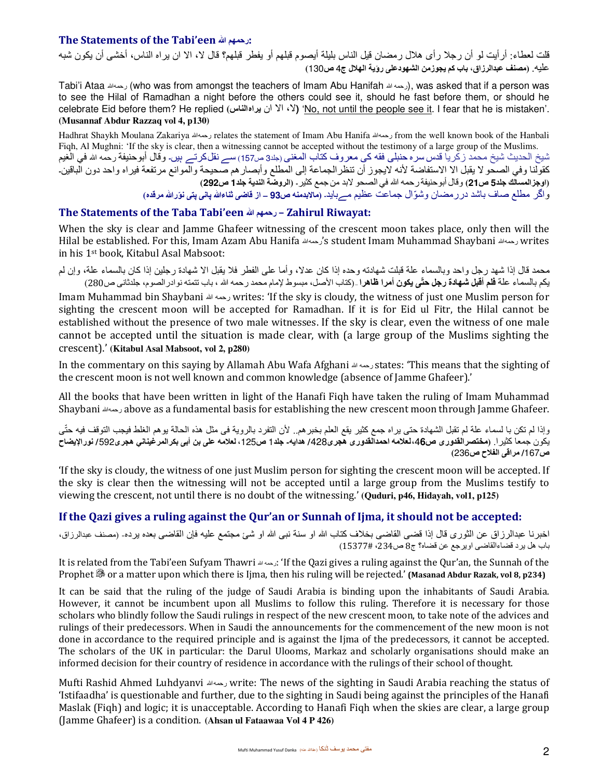#### **The Statements of the Tabi'een الله رحمھم:**

قلت لعطاء: أرأيت لو أن رج4 رأى ھ4ل رمضان قيل الناس بليلة أيصوم قبلھم أو يفطر قبلھم**؟** قال J، اJ ان يراه الناس، أخشى أن يكون شبه عليه. **(مصنف عبدالرزاق، باب كم يجوزمن الشھودعلى رؤية الھ5ل ج**4 **ص**130**)**

Tabi'i Ataa رحمه لله) who was from amongst the teachers of Imam Abu Hanifah الله ), was asked that if a person was to see the Hilal of Ramadhan a night before the others could see it, should he fast before them, or should he celebrate Eid before them? He replied **(يراهالناس** ان Jا ،J**)** 'No, not until the people see it. I fear that he is mistaken'. **(Musannaf Abdur Razzaq vol 4, p130)** 

Hadhrat Shaykh Moulana Zakariya رحمهالله relates the statement of Imam Abu Hanifa رحمهالله from the well known book of the Hanbali Fiqh, Al Mughni: 'If the sky is clear, then a witnessing cannot be accepted without the testimony of a large group of the Muslims. شيخ الحديث شيخ محمد زكريا قدس سره حنبلى فقه كى معروف كتاب المغنى (جلد3 ص157) سے نقلكرتے ہيں۔ وقال أبوحنيفة رحمه الله في الغيم كقولنا وفي الصحو لا يقبل الا الاستفاضة لأنه لايجوز أن تنظر الجماعة إلى المطلع وأبصارهم صحيحة والموانع مرتفعة فيراه واحد دون الباقين۔ **(اوجزالمسالك جلد5 ص21)** وقال أبوحنيفة رحمه الله في الصحو Jبد من جمع كثير۔ **(الروضة الندية جلد1 ص292)**  و ّ اگر مطلع صاف باشد دررمضان وشوال جماعت عظيم مےبايد۔ **( ماKبدمنه ص93 – از قاضى ثناءالله پانى پتى ّنورالله مرقده)** 

#### **The Statements of the Taba Tabi'een الله رحمھم – Zahirul Riwayat:**

When the sky is clear and Jamme Ghafeer witnessing of the crescent moon takes place, only then will the Hilal be established. For this, Imam Azam Abu Hanifa رحمهالله's student Imam Muhammad Shaybani رحمهالله writes in his 1st book, Kitabul Asal Mabsoot:

محمد قال إذا شهد رجل واحد وبالسماء علة قبلت شهادته وحده إذا كان عدلا، وأما على الفطر فلا يقبل الا شهادة رجلين إذا كان بالسماء علة، وإن لم يكم بالسماء علة **فلم أقبل شھادة رجل حتّى يكون أمرا ظاھرا** – (كتاب اVصل، مبسوط [مام محمد رحمه الله ، باب تتمته نوادرالصوم، جلدثانى ص280)

Imam Muhammad bin Shaybani رحمه لله writes: 'If the sky is cloudy, the witness of just one Muslim person for sighting the crescent moon will be accepted for Ramadhan. If it is for Eid ul Fitr, the Hilal cannot be established without the presence of two male witnesses. If the sky is clear, even the witness of one male cannot be accepted until the situation is made clear, with (a large group of the Muslims sighting the crescent).' **(Kitabul Asal Mabsoot, vol 2, p280)** 

In the commentary on this saying by Allamah Abu Wafa Afghani الله رحمه states: 'This means that the sighting of the crescent moon is not well known and common knowledge (absence of Jamme Ghafeer).'

All the books that have been written in light of the Hanafi Fiqh have taken the ruling of Imam Muhammad Shaybani رحمهالله above as a fundamental basis for establishing the new crescent moon through Jamme Ghafeer.

وإذا لم تكن با لسماء علة لم تقبل الشھادة حتى يراه جمع كثير يقع العلم بخبرھم.. Vن التفرد بالروية فى مثل ھذه الحالة يوھم الغلط فيجب التوقف فيه حتّى يكون جمعا كثيرا. (مختصرالقدوري ص46، لعلامه احمدالقدوري هجري428/ هدايه- جلد1 ص125، لعلامه على بن أبي بكرالمرغيناني هجري592/ نورالإيضاح **ص/**167 **مراقى الف5ح ص**236**)**

'If the sky is cloudy, the witness of one just Muslim person for sighting the crescent moon will be accepted. If the sky is clear then the witnessing will not be accepted until a large group from the Muslims testify to viewing the crescent, not until there is no doubt of the witnessing.' **(Quduri, p46, Hidayah, vol1, p125)** 

# **If the Qazi gives a ruling against the Qur'an or Sunnah of Ijma, it should not be accepted:**

اخبرنا عبدالرزاق عن الثورى قال إذا قضى القاضى بخلاف كتاب الله او سنة نبى الله او شئ مجتمع عليه فإن القاضى بعده يرده- (مصنف عبدالرزاق، باب ھل يرد قضاءالقاضى اويرجع عن قضاه؟ ج8 ص،234 15377# )

It is related from the Tabi'een Sufyam Thawri المحمه ه: 'If the Qazi gives a ruling against the Qur'an, the Sunnah of the Prophet <sup>38</sup> or a matter upon which there is Ijma, then his ruling will be rejected.' **(Masanad Abdur Razak, vol 8, p234)** 

It can be said that the ruling of the judge of Saudi Arabia is binding upon the inhabitants of Saudi Arabia. However, it cannot be incumbent upon all Muslims to follow this ruling. Therefore it is necessary for those scholars who blindly follow the Saudi rulings in respect of the new crescent moon, to take note of the advices and rulings of their predecessors. When in Saudi the announcements for the commencement of the new moon is not done in accordance to the required principle and is against the Ijma of the predecessors, it cannot be accepted. The scholars of the UK in particular: the Darul Ulooms, Markaz and scholarly organisations should make an informed decision for their country of residence in accordance with the rulings of their school of thought.

Mufti Rashid Ahmed Luhdyanvi رحمهالله write: The news of the sighting in Saudi Arabia reaching the status of 'Istifaadha' is questionable and further, due to the sighting in Saudi being against the principles of the Hanafi Maslak (Fiqh) and logic; it is unacceptable. According to Hanafi Fiqh when the skies are clear, a large group (Jamme Ghafeer) is a condition. **(Ahsan ul Fataawaa Vol 4 P 426)**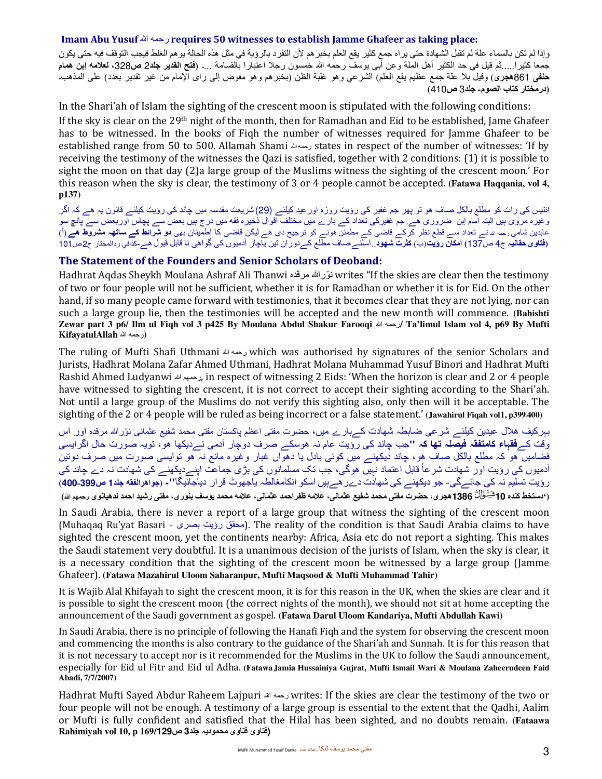#### **Imam Abu Yusuf** الله رحمه **requires 50 witnesses to establish Jamme Ghafeer as taking place:**

وإذا لم تكن بالسماء علة لم تقبل الشھادة حتي يراه جمع كثير يقع العلم بخبرھم Vن التفرد بالرؤية في مثل ھذه الحالة يوھم الغلط فيجب التوقف فيه حتي يكون جمعا كثيرا.....ثم قيل في حد الكثير أھل الملة وعن أبى يوسف رحمه الله خمسون رج4 اعتبارا بالقسامة ...۔ **(فتح القدير جلد**2 **ص،**328 **لع5مه إبن ھمام حنفى** 861**ھجرى)** وقيل ب4 علة جمع عظيم يقع العلم) الشرعي وھو غلبة الظن (بخبرھم وھو مفوض إلى راى ا[مام من غير تقدير بعدد) على المذھب۔ **(درمختار كتاب الصوم - جلد**3 **ص**410 **)**

In the Shari'ah of Islam the sighting of the crescent moon is stipulated with the following conditions: If the sky is clear on the 29th night of the month, then for Ramadhan and Eid to be established, Jame Ghafeer has to be witnessed. In the books of Fiqh the number of witnesses required for Jamme Ghafeer to be established range from 50 to 500. Allamah Shami رحمهالله states in respect of the number of witnesses: 'If by receiving the testimony of the witnesses the Qazi is satisfied, together with 2 conditions: (1) it is possible to sight the moon on that day (2)a large group of the Muslims witness the sighting of the crescent moon.' For this reason when the sky is clear, the testimony of 3 or 4 people cannot be accepted. **(Fatawa Haqqania, vol 4, p137)** 

انتيس كى رات كو مطلع بالكل صاف ھو تو پھر جم غفير كى رؤيت روزه اورعيد كيلئے (29) شريعت مقدسہ ميں چاند كى رؤيت كيلئے قانون يہ ھے كہ اگر وغيره مروى ہيں البتہ امام إبن ضرورى ھے. جم غفير ىک تعداد کے بارے ميں مختلف اقوال ذخيره فقه ميں درج ہيں بعض سے پچاس اوربعض سے پانچ سو عابدين شامى رحمه الله نے تعداد سے قطع نظر كرکے قاضى کے مطمئن نوھ ے كو ترجيح دى ھے ليكن قاضى كا اطمينان بھى **دو شرائط کے ساتھہ مشروط ھے** (أ) **(فتاوىحقانيہ** ج4 ص137**) امكان رؤيت**(ب) **كثرت شھود**..اسلئےصاف مطلع کےدوران تين ياچار آدميوں كى گواھى نا قابل قبولھے**-**كذافي ردالمختار ج2ص101

#### **The Statement of the Founders and Senior Scholars of Deoband:**

Hadhrat Aqdas Sheykh Moulana Ashraf Ali Thanwi مرقده نوراللهّ writes "If the skies are clear then the testimony of two or four people will not be sufficient, whether it is for Ramadhan or whether it is for Eid. On the other hand, if so many people came forward with testimonies, that it becomes clear that they are not lying, nor can such a large group lie, then the testimonies will be accepted and the new month will commence. **(Bahishti Zewar part 3 p6/ Ilm ul Fiqh vol 3 p425 By Moulana Abdul Shakur Farooqi** الله رحمه**/ Ta'limul Islam vol 4, p69 By Mufti (**رحمه الله **KifayatulAllah**

The ruling of Mufti Shafi Uthmani الله رحمه which was authorised by signatures of the senior Scholars and Jurists, Hadhrat Molana Zafar Ahmed Uthmani, Hadhrat Molana Muhammad Yusuf Binori and Hadhrat Mufti Rashid Ahmed Ludyanwi الله رحمھم, in respect of witnessing 2 Eids: 'When the horizon is clear and 2 or 4 people have witnessed to sighting the crescent, it is not correct to accept their sighting according to the Shari'ah. Not until a large group of the Muslims do not verify this sighting also, only then will it be acceptable. The sighting of the 2 or 4 people will be ruled as being incorrect or a false statement.' **(Jawahirul Fiqah vol1, p399-400)** 

بہركيف ھلال عيدين كيلئے شرعى ضابطہ شھادت كےبار<sub>ے</sub> ميں، حضرت مفتى اعظم پاكستان مفتى محمد شفيع عثمانى نوّرالله مرقده اور اس وقت کے**فقہاء كامتفقہ فيصلہ تھا كہ "** جب چاند كى رؤيت عام ہن ھوسكے صرف دوچار آدمي نےديكھا ھو، تويہ صورت حال اگرايسى فضاميں ھو كہ مطلع بالكل صاف ھو، چاند ديكھنے ميں كوئى بادل يا دھواں غبار وغيره مانع نہ ھو توايسى صورت ميں صرف دوتين ادمیوں كى رؤيت اور شھادت شرعاً قابل اعتماد نہيں ھوگى، جب تک مسلمانوں كى بڑى جماعت اپنےرديكھنے كى شھادت نہ دے چاند كى رؤيت تسليم ہن كى جائےگى - جو ديكھنے كى شھادت دےرھےہيں اسكو انكامغالطہ ياجھوٹ قرار دياجائيگا **-" ( جواھرالفقه جلد1 ص-399 400 )** ('دستخط كنده 10 شِخَّالُ' 1386هجر ي، حضرت مفتى محمد شفيع عثماني، علامه ظفر احمد عثماني، علامه محمد يوسف بنور ي، مفتى ر شيد احمد لدهيانوي رحمهراش

In Saudi Arabia, there is never a report of a large group that witness the sighting of the crescent moon (Muhaqaq Ru'yat Basari - بحقق رؤيت بصرى). The reality of the condition is that Saudi Arabia claims to have sighted the crescent moon, yet the continents nearby: Africa, Asia etc do not report a sighting. This makes the Saudi statement very doubtful. It is a unanimous decision of the jurists of Islam, when the sky is clear, it is a necessary condition that the sighting of the crescent moon be witnessed by a large group (Jamme Ghafeer). **(Fatawa Mazahirul Uloom Saharanpur, Mufti Maqsood & Mufti Muhammad Tahir)**

It is Wajib Alal Khifayah to sight the crescent moon, it is for this reason in the UK, when the skies are clear and it is possible to sight the crescent moon (the correct nights of the month), we should not sit at home accepting the announcement of the Saudi government as gospel. **(Fatawa Darul Uloom Kandariya, Mufti Abdullah Kawi)**

In Saudi Arabia, there is no principle of following the Hanafi Fiqh and the system for observing the crescent moon and commencing the months is also contrary to the guidance of the Shari'ah and Sunnah. It is for this reason that it is not necessary to accept nor is it recommended for the Muslims in the UK to follow the Saudi announcement, especially for Eid ul Fitr and Eid ul Adha. **(FatawaJamia Hussainiya Gujrat, Mufti Ismail Wari & Moulana Zaheerudeen Faid Abadi, 7/7/2007)** 

Hadhrat Mufti Sayed Abdur Raheem Lajpuri الله رحمه writes: If the skies are clear the testimony of the two or four people will not be enough. A testimony of a large group is essential to the extent that the Qadhi, Aalim or Mufti is fully confident and satisfied that the Hilal has been sighted, and no doubts remain. **(Fataawa (فتاوى فتاوى محموديہ جلد3 ص169/129 p 10, vol Rahimiyah**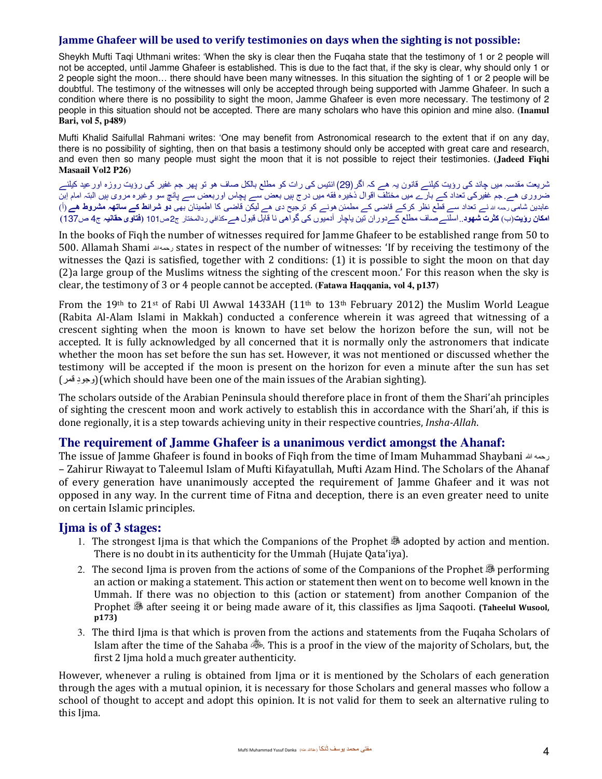#### **Jamme Ghafeer will be used to verify testimonies on days when the sighting is not possible:**

Sheykh Mufti Taqi Uthmani writes: 'When the sky is clear then the Fuqaha state that the testimony of 1 or 2 people will not be accepted, until Jamme Ghafeer is established. This is due to the fact that, if the sky is clear, why should only 1 or 2 people sight the moon… there should have been many witnesses. In this situation the sighting of 1 or 2 people will be doubtful. The testimony of the witnesses will only be accepted through being supported with Jamme Ghafeer. In such a condition where there is no possibility to sight the moon, Jamme Ghafeer is even more necessary. The testimony of 2 people in this situation should not be accepted. There are many scholars who have this opinion and mine also. **(Inamul Bari, vol 5, p489)** 

Mufti Khalid Saifullal Rahmani writes: 'One may benefit from Astronomical research to the extent that if on any day, there is no possibility of sighting, then on that basis a testimony should only be accepted with great care and research, and even then so many people must sight the moon that it is not possible to reject their testimonies. **(Jadeed Fiqhi Masaail Vol2 P26)** 

شريعت مقدسہ ميں چاند كى رؤيت كيلئے قانون يہ ھے كہ اگر(29) انتيس كى رات كو مطلع بالكل صاف ھو تو پھر جم غفير كى رؤيت روزه اورعيد كيلئے ضرورى ھے. جم غفير ىک تعداد کے بارے ميں مختلف اقوال ذخيره فقه ميں درج ہيں بعض سے پچاس اوربعض سے پانچ سو وغيره مروى ہيں البتہ امام إبن عابدين شا*مى* رحمه <sub>اللہ</sub> نے تعداد سے قطع نظر كركے قاضى كے مطمئن هونے كو ترجيح دى هے ليكن قاضى كا اطمينان بھى **دو شرائط كے ساتھہ مشروط هے** (أ) **امكان رؤيت**(ب) **كثرت شھود**..اسلئےصاف مطلع کےدوران تين ياچار آدميوں كى گواھى نا قابل قبولھے**-**كذافي ردالمختار ج2ص101 **(فتاوىحقانيہ** ج4 ص137**)** 

In the books of Fiqh the number of witnesses required for Jamme Ghafeer to be established range from 50 to 500. Allamah Shami رحمهالله states in respect of the number of witnesses: 'If by receiving the testimony of the witnesses the Qazi is satisfied, together with 2 conditions: (1) it is possible to sight the moon on that day (2)a large group of the Muslims witness the sighting of the crescent moon.' For this reason when the sky is clear, the testimony of 3 or 4 people cannot be accepted. **(Fatawa Haqqania, vol 4, p137)** 

From the 19<sup>th</sup> to 21<sup>st</sup> of Rabi Ul Awwal 1433AH (11<sup>th</sup> to 13<sup>th</sup> February 2012) the Muslim World League (Rabita Al-Alam Islami in Makkah) conducted a conference wherein it was agreed that witnessing of a crescent sighting when the moon is known to have set below the horizon before the sun, will not be accepted. It is fully acknowledged by all concerned that it is normally only the astronomers that indicate whether the moon has set before the sun has set. However, it was not mentioned or discussed whether the testimony will be accepted if the moon is present on the horizon for even a minute after the sun has set (قمر وجود ِ)( which should have been one of the main issues of the Arabian sighting).

The scholars outside of the Arabian Peninsula should therefore place in front of them the Shari'ah principles of sighting the crescent moon and work actively to establish this in accordance with the Shari'ah, if this is done regionally, it is a step towards achieving unity in their respective countries, *Insha-Allah*.

## **The requirement of Jamme Ghafeer is a unanimous verdict amongst the Ahanaf:**

The issue of Jamme Ghafeer is found in books of Fiqh from the time of Imam Muhammad Shaybani الله رحمه – Zahirur Riwayat to Taleemul Islam of Mufti Kifayatullah, Mufti Azam Hind. The Scholars of the Ahanaf of every generation have unanimously accepted the requirement of Jamme Ghafeer and it was not opposed in any way. In the current time of Fitna and deception, there is an even greater need to unite on certain Islamic principles.

## **Ijma is of 3 stages:**

- 1. The strongest Ijma is that which the Companions of the Prophet adopted by action and mention. There is no doubt in its authenticity for the Ummah (Hujate Qata'iya).
- 2. The second Ijma is proven from the actions of some of the Companions of the Prophet  $\mathcal{F}$  performing an action or making a statement. This action or statement then went on to become well known in the Ummah. If there was no objection to this (action or statement) from another Companion of the Prophet after seeing it or being made aware of it, this classifies as Ijma Saqooti. **(Taheelul Wusool, p173)**
- 3. The third Ijma is that which is proven from the actions and statements from the Fuqaha Scholars of Islam after the time of the Sahaba . This is a proof in the view of the majority of Scholars, but, the first 2 Ijma hold a much greater authenticity.

However, whenever a ruling is obtained from Ijma or it is mentioned by the Scholars of each generation through the ages with a mutual opinion, it is necessary for those Scholars and general masses who follow a school of thought to accept and adopt this opinion. It is not valid for them to seek an alternative ruling to this Ijma.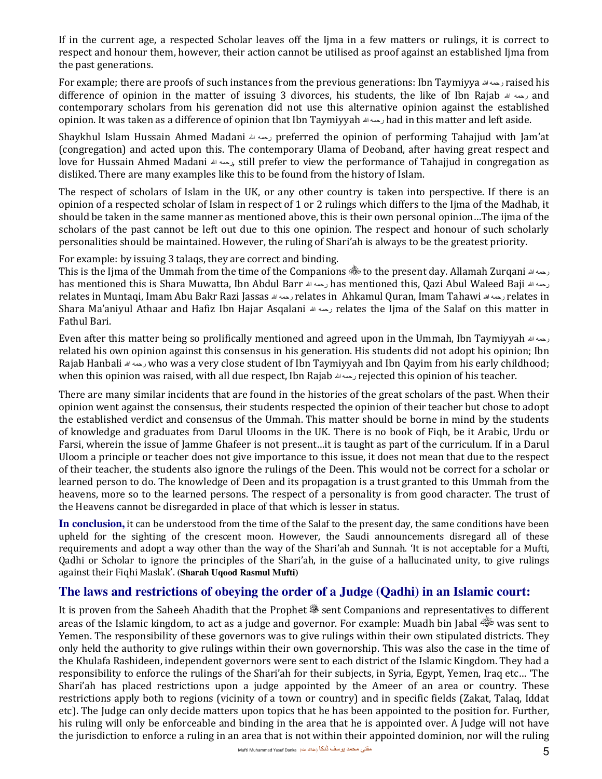If in the current age, a respected Scholar leaves off the Ijma in a few matters or rulings, it is correct to respect and honour them, however, their action cannot be utilised as proof against an established Ijma from the past generations.

For example; there are proofs of such instances from the previous generations: Ibn Taymiyya الله رحمه raised his difference of opinion in the matter of issuing 3 divorces, his students, the like of Ibn Rajab رحمه لله and contemporary scholars from his gerenation did not use this alternative opinion against the established opinion. It was taken as a difference of opinion that Ibn Taymiyyah الله رحمه had in this matter and left aside.

Shaykhul Islam Hussain Ahmed Madani الله رحمه preferred the opinion of performing Tahajjud with Jam'at (congregation) and acted upon this. The contemporary Ulama of Deoband, after having great respect and love for Hussain Ahmed Madani الله رحمه, still prefer to view the performance of Tahajjud in congregation as disliked. There are many examples like this to be found from the history of Islam.

The respect of scholars of Islam in the UK, or any other country is taken into perspective. If there is an opinion of a respected scholar of Islam in respect of 1 or 2 rulings which differs to the Ijma of the Madhab, it should be taken in the same manner as mentioned above, this is their own personal opinion…The ijma of the scholars of the past cannot be left out due to this one opinion. The respect and honour of such scholarly personalities should be maintained. However, the ruling of Shari'ah is always to be the greatest priority.

For example: by issuing 3 talaqs, they are correct and binding.

This is the Ijma of the Ummah from the time of the Companions to the present day. Allamah Zurqani الله رحمه has mentioned this is Shara Muwatta, Ibn Abdul Barr الله رحمه has mentioned this, Qazi Abul Waleed Baji الله رحمه relates in Muntaqi, Imam Abu Bakr Razi Jassas الله رحمه relates in Ahkamul Quran, Imam Tahawi الله رحمه relates in Shara Ma'aniyul Athaar and Hafiz Ibn Hajar Asqalani الله رحمه relates the Ijma of the Salaf on this matter in Fathul Bari.

Even after this matter being so prolifically mentioned and agreed upon in the Ummah, Ibn Taymiyyah الله رحمه related his own opinion against this consensus in his generation. His students did not adopt his opinion; Ibn Rajab Hanbali رحمه سله who was a very close student of Ibn Taymiyyah and Ibn Qayim from his early childhood; when this opinion was raised, with all due respect, Ibn Rajab الله رحمه rejected this opinion of his teacher.

There are many similar incidents that are found in the histories of the great scholars of the past. When their opinion went against the consensus, their students respected the opinion of their teacher but chose to adopt the established verdict and consensus of the Ummah. This matter should be borne in mind by the students of knowledge and graduates from Darul Ulooms in the UK. There is no book of Fiqh, be it Arabic, Urdu or Farsi, wherein the issue of Jamme Ghafeer is not present…it is taught as part of the curriculum. If in a Darul Uloom a principle or teacher does not give importance to this issue, it does not mean that due to the respect of their teacher, the students also ignore the rulings of the Deen. This would not be correct for a scholar or learned person to do. The knowledge of Deen and its propagation is a trust granted to this Ummah from the heavens, more so to the learned persons. The respect of a personality is from good character. The trust of the Heavens cannot be disregarded in place of that which is lesser in status.

**In conclusion,** it can be understood from the time of the Salaf to the present day, the same conditions have been upheld for the sighting of the crescent moon. However, the Saudi announcements disregard all of these requirements and adopt a way other than the way of the Shari'ah and Sunnah. 'It is not acceptable for a Mufti, Qadhi or Scholar to ignore the principles of the Shari'ah, in the guise of a hallucinated unity, to give rulings against their Fiqhi Maslak'. **(Sharah Uqood Rasmul Mufti)** 

# **The laws and restrictions of obeying the order of a Judge (Qadhi) in an Islamic court:**

It is proven from the Saheeh Ahadith that the Prophet  $\frac{36}{100}$  sent Companions and representatives to different areas of the Islamic kingdom, to act as a judge and governor. For example: Muadh bin Jabal was sent to Yemen. The responsibility of these governors was to give rulings within their own stipulated districts. They only held the authority to give rulings within their own governorship. This was also the case in the time of the Khulafa Rashideen, independent governors were sent to each district of the Islamic Kingdom. They had a responsibility to enforce the rulings of the Shari'ah for their subjects, in Syria, Egypt, Yemen, Iraq etc… 'The Shari'ah has placed restrictions upon a judge appointed by the Ameer of an area or country. These restrictions apply both to regions (vicinity of a town or country) and in specific fields (Zakat, Talaq, Iddat etc). The Judge can only decide matters upon topics that he has been appointed to the position for. Further, his ruling will only be enforceable and binding in the area that he is appointed over. A Judge will not have the jurisdiction to enforce a ruling in an area that is not within their appointed dominion, nor will the ruling